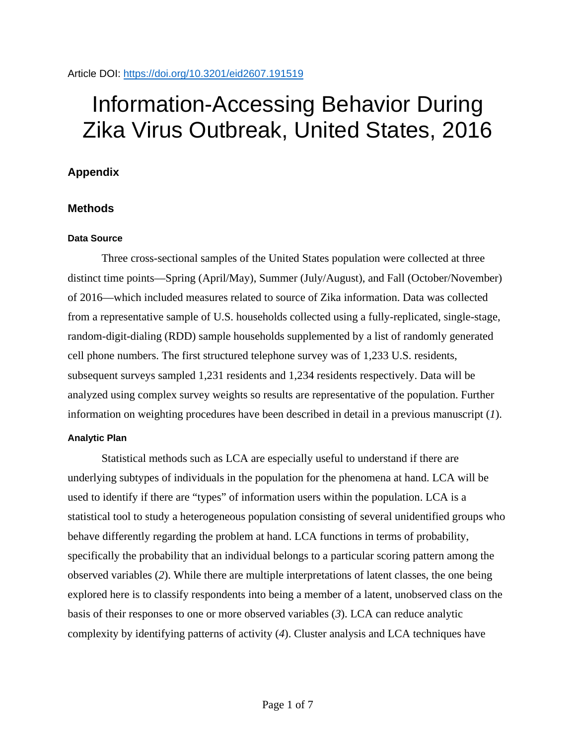### Article DOI:<https://doi.org/10.3201/eid2607.191519>

# Information-Accessing Behavior During Zika Virus Outbreak, United States, 2016

# **Appendix**

## **Methods**

## **Data Source**

Three cross-sectional samples of the United States population were collected at three distinct time points—Spring (April/May), Summer (July/August), and Fall (October/November) of 2016—which included measures related to source of Zika information. Data was collected from a representative sample of U.S. households collected using a fully-replicated, single-stage, random-digit-dialing (RDD) sample households supplemented by a list of randomly generated cell phone numbers. The first structured telephone survey was of 1,233 U.S. residents, subsequent surveys sampled 1,231 residents and 1,234 residents respectively. Data will be analyzed using complex survey weights so results are representative of the population. Further information on weighting procedures have been described in detail in a previous manuscript (*1*).

### **Analytic Plan**

Statistical methods such as LCA are especially useful to understand if there are underlying subtypes of individuals in the population for the phenomena at hand. LCA will be used to identify if there are "types" of information users within the population. LCA is a statistical tool to study a heterogeneous population consisting of several unidentified groups who behave differently regarding the problem at hand. LCA functions in terms of probability, specifically the probability that an individual belongs to a particular scoring pattern among the observed variables (*2*). While there are multiple interpretations of latent classes, the one being explored here is to classify respondents into being a member of a latent, unobserved class on the basis of their responses to one or more observed variables (*3*). LCA can reduce analytic complexity by identifying patterns of activity (*4*). Cluster analysis and LCA techniques have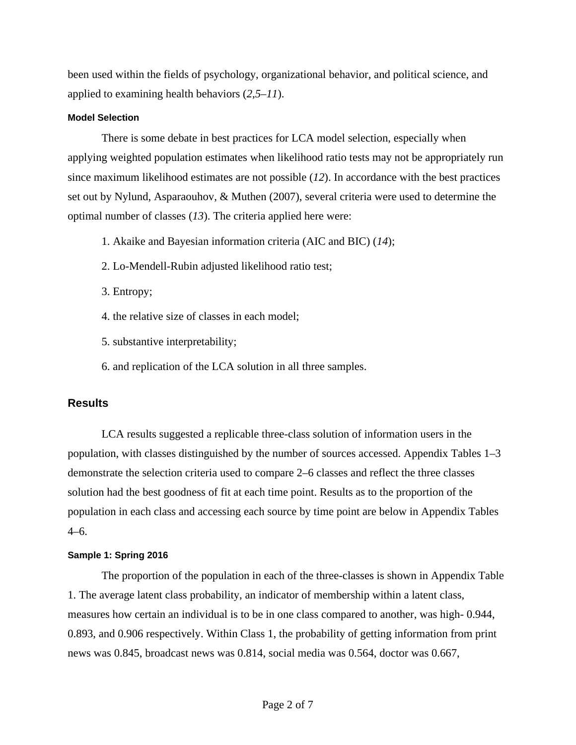been used within the fields of psychology, organizational behavior, and political science, and applied to examining health behaviors (*2*,*5*–*11*).

#### **Model Selection**

There is some debate in best practices for LCA model selection, especially when applying weighted population estimates when likelihood ratio tests may not be appropriately run since maximum likelihood estimates are not possible (*12*). In accordance with the best practices set out by Nylund, Asparaouhov, & Muthen (2007), several criteria were used to determine the optimal number of classes (*13*). The criteria applied here were:

- 1. Akaike and Bayesian information criteria (AIC and BIC) (*14*);
- 2. Lo-Mendell-Rubin adjusted likelihood ratio test;
- 3. Entropy;
- 4. the relative size of classes in each model;
- 5. substantive interpretability;
- 6. and replication of the LCA solution in all three samples.

### **Results**

LCA results suggested a replicable three-class solution of information users in the population, with classes distinguished by the number of sources accessed. Appendix Tables 1–3 demonstrate the selection criteria used to compare 2–6 classes and reflect the three classes solution had the best goodness of fit at each time point. Results as to the proportion of the population in each class and accessing each source by time point are below in Appendix Tables 4–6.

#### **Sample 1: Spring 2016**

The proportion of the population in each of the three-classes is shown in Appendix Table 1. The average latent class probability, an indicator of membership within a latent class, measures how certain an individual is to be in one class compared to another, was high- 0.944, 0.893, and 0.906 respectively. Within Class 1, the probability of getting information from print news was 0.845, broadcast news was 0.814, social media was 0.564, doctor was 0.667,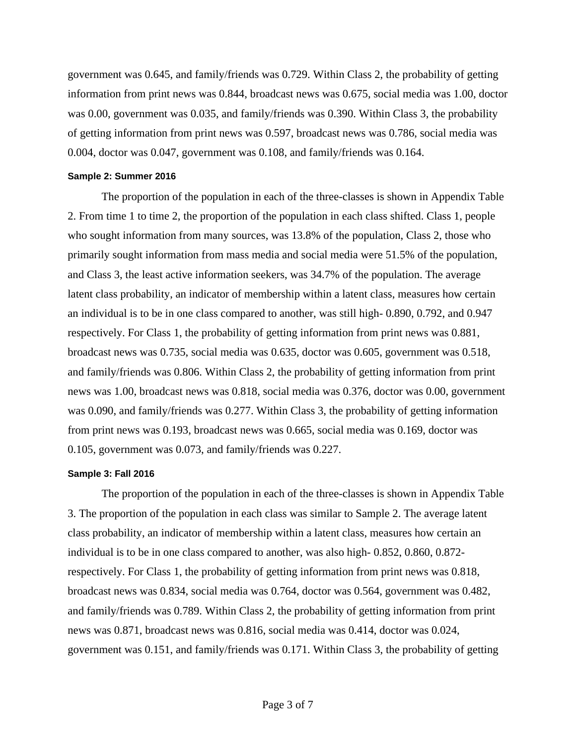government was 0.645, and family/friends was 0.729. Within Class 2, the probability of getting information from print news was 0.844, broadcast news was 0.675, social media was 1.00, doctor was 0.00, government was 0.035, and family/friends was 0.390. Within Class 3, the probability of getting information from print news was 0.597, broadcast news was 0.786, social media was 0.004, doctor was 0.047, government was 0.108, and family/friends was 0.164.

#### **Sample 2: Summer 2016**

The proportion of the population in each of the three-classes is shown in Appendix Table 2. From time 1 to time 2, the proportion of the population in each class shifted. Class 1, people who sought information from many sources, was 13.8% of the population, Class 2, those who primarily sought information from mass media and social media were 51.5% of the population, and Class 3, the least active information seekers, was 34.7% of the population. The average latent class probability, an indicator of membership within a latent class, measures how certain an individual is to be in one class compared to another, was still high- 0.890, 0.792, and 0.947 respectively. For Class 1, the probability of getting information from print news was 0.881, broadcast news was 0.735, social media was 0.635, doctor was 0.605, government was 0.518, and family/friends was 0.806. Within Class 2, the probability of getting information from print news was 1.00, broadcast news was 0.818, social media was 0.376, doctor was 0.00, government was 0.090, and family/friends was 0.277. Within Class 3, the probability of getting information from print news was 0.193, broadcast news was 0.665, social media was 0.169, doctor was 0.105, government was 0.073, and family/friends was 0.227.

#### **Sample 3: Fall 2016**

The proportion of the population in each of the three-classes is shown in Appendix Table 3. The proportion of the population in each class was similar to Sample 2. The average latent class probability, an indicator of membership within a latent class, measures how certain an individual is to be in one class compared to another, was also high- 0.852, 0.860, 0.872 respectively. For Class 1, the probability of getting information from print news was 0.818, broadcast news was 0.834, social media was 0.764, doctor was 0.564, government was 0.482, and family/friends was 0.789. Within Class 2, the probability of getting information from print news was 0.871, broadcast news was 0.816, social media was 0.414, doctor was 0.024, government was 0.151, and family/friends was 0.171. Within Class 3, the probability of getting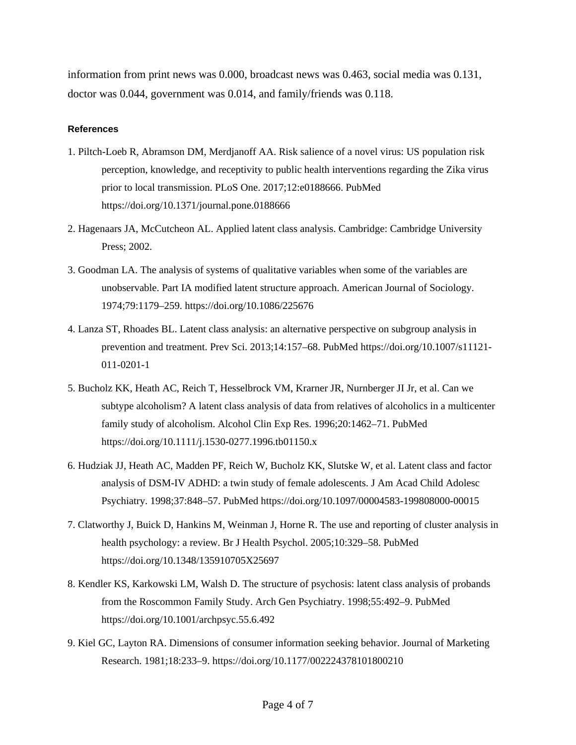information from print news was 0.000, broadcast news was 0.463, social media was 0.131, doctor was 0.044, government was 0.014, and family/friends was 0.118.

#### **References**

- 1. Piltch-Loeb R, Abramson DM, Merdjanoff AA. Risk salience of a novel virus: US population risk perception, knowledge, and receptivity to public health interventions regarding the Zika virus prior to local transmission. PLoS One. 2017;12:e0188666. [PubMed](https://www.ncbi.nlm.nih.gov/entrez/query.fcgi?cmd=Retrieve&db=PubMed&list_uids=29267308&dopt=Abstract) <https://doi.org/10.1371/journal.pone.0188666>
- 2. Hagenaars JA, McCutcheon AL. Applied latent class analysis. Cambridge: Cambridge University Press; 2002.
- 3. Goodman LA. The analysis of systems of qualitative variables when some of the variables are unobservable. Part IA modified latent structure approach. American Journal of Sociology. 1974;79:1179–259.<https://doi.org/10.1086/225676>
- 4. Lanza ST, Rhoades BL. Latent class analysis: an alternative perspective on subgroup analysis in prevention and treatment. Prev Sci. 2013;14:157–68. [PubMed](https://www.ncbi.nlm.nih.gov/entrez/query.fcgi?cmd=Retrieve&db=PubMed&list_uids=21318625&dopt=Abstract) [https://doi.org/10.1007/s11121-](https://doi.org/10.1007/s11121-011-0201-1) [011-0201-1](https://doi.org/10.1007/s11121-011-0201-1)
- 5. Bucholz KK, Heath AC, Reich T, Hesselbrock VM, Krarner JR, Nurnberger JI Jr, et al. Can we subtype alcoholism? A latent class analysis of data from relatives of alcoholics in a multicenter family study of alcoholism. Alcohol Clin Exp Res. 1996;20:1462–71. [PubMed](https://www.ncbi.nlm.nih.gov/entrez/query.fcgi?cmd=Retrieve&db=PubMed&list_uids=8947326&dopt=Abstract) <https://doi.org/10.1111/j.1530-0277.1996.tb01150.x>
- 6. Hudziak JJ, Heath AC, Madden PF, Reich W, Bucholz KK, Slutske W, et al. Latent class and factor analysis of DSM-IV ADHD: a twin study of female adolescents. J Am Acad Child Adolesc Psychiatry. 1998;37:848–57. [PubMed](https://www.ncbi.nlm.nih.gov/entrez/query.fcgi?cmd=Retrieve&db=PubMed&list_uids=9695447&dopt=Abstract) <https://doi.org/10.1097/00004583-199808000-00015>
- 7. Clatworthy J, Buick D, Hankins M, Weinman J, Horne R. The use and reporting of cluster analysis in health psychology: a review. Br J Health Psychol. 2005;10:329–58. [PubMed](https://www.ncbi.nlm.nih.gov/entrez/query.fcgi?cmd=Retrieve&db=PubMed&list_uids=16238852&dopt=Abstract) <https://doi.org/10.1348/135910705X25697>
- 8. Kendler KS, Karkowski LM, Walsh D. The structure of psychosis: latent class analysis of probands from the Roscommon Family Study. Arch Gen Psychiatry. 1998;55:492–9. [PubMed](https://www.ncbi.nlm.nih.gov/entrez/query.fcgi?cmd=Retrieve&db=PubMed&list_uids=9633666&dopt=Abstract) <https://doi.org/10.1001/archpsyc.55.6.492>
- 9. Kiel GC, Layton RA. Dimensions of consumer information seeking behavior. Journal of Marketing Research. 1981;18:233–9.<https://doi.org/10.1177/002224378101800210>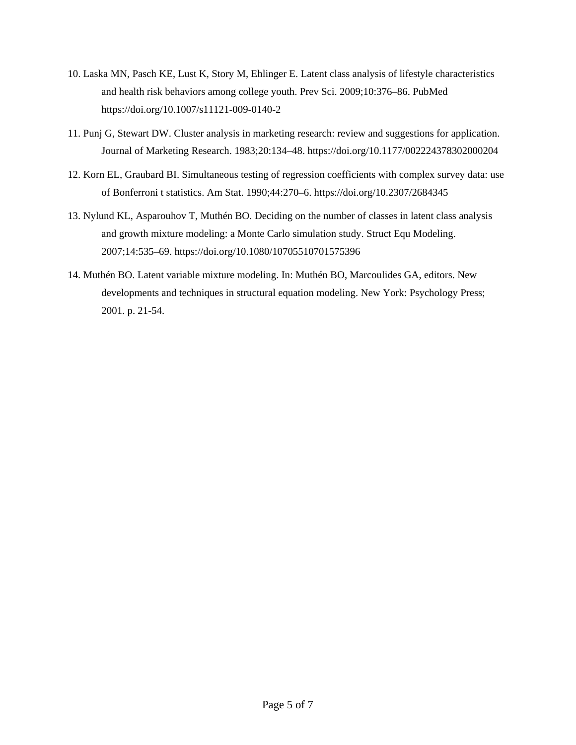- 10. Laska MN, Pasch KE, Lust K, Story M, Ehlinger E. Latent class analysis of lifestyle characteristics and health risk behaviors among college youth. Prev Sci. 2009;10:376–86. [PubMed](https://www.ncbi.nlm.nih.gov/entrez/query.fcgi?cmd=Retrieve&db=PubMed&list_uids=19499339&dopt=Abstract) <https://doi.org/10.1007/s11121-009-0140-2>
- 11. Punj G, Stewart DW. Cluster analysis in marketing research: review and suggestions for application. Journal of Marketing Research. 1983;20:134–48.<https://doi.org/10.1177/002224378302000204>
- 12. Korn EL, Graubard BI. Simultaneous testing of regression coefficients with complex survey data: use of Bonferroni t statistics. Am Stat. 1990;44:270–6.<https://doi.org/10.2307/2684345>
- 13. Nylund KL, Asparouhov T, Muthén BO. Deciding on the number of classes in latent class analysis and growth mixture modeling: a Monte Carlo simulation study. Struct Equ Modeling. 2007;14:535–69.<https://doi.org/10.1080/10705510701575396>
- 14. Muthén BO. Latent variable mixture modeling. In: Muthén BO, Marcoulides GA, editors. New developments and techniques in structural equation modeling. New York: Psychology Press; 2001. p. 21-54.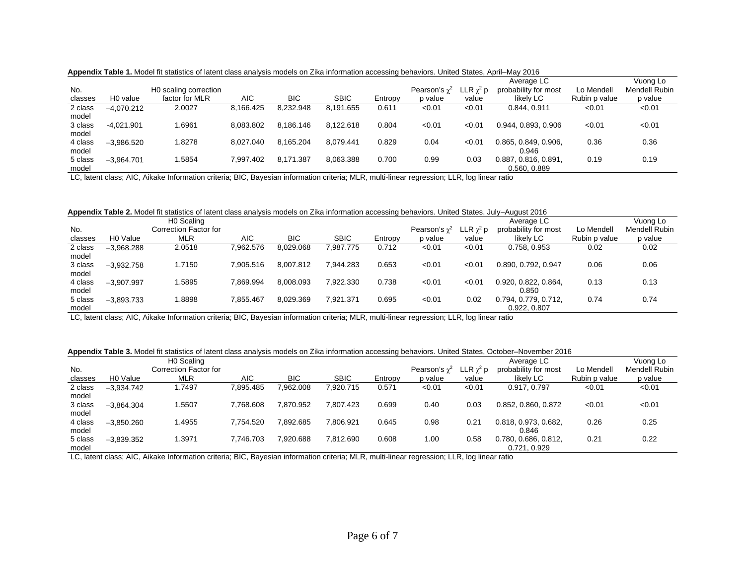| No.     |                      | H0 scaling correction |            |            |             |         | Pearson's $\gamma^2$ | $\mathsf{LR}\ \chi^2\ \mathsf{p}$ | Average LC<br>probability for most | Lo Mendell    | Vuong Lo<br><b>Mendell Rubin</b> |
|---------|----------------------|-----------------------|------------|------------|-------------|---------|----------------------|-----------------------------------|------------------------------------|---------------|----------------------------------|
| classes | H <sub>0</sub> value | factor for MLR        | <b>AIC</b> | <b>BIC</b> | <b>SBIC</b> | Entropy | p value              | value                             | likelv LC                          | Rubin p value | p value                          |
| 2 class | $-4.070.212$         | 2.0027                | 8,166.425  | 8.232.948  | 8.191.655   | 0.611   | < 0.01               | < 0.01                            | 0.844, 0.911                       | < 0.01        | < 0.01                           |
| model   |                      |                       |            |            |             |         |                      |                                   |                                    |               |                                  |
| 3 class | $-4.021.901$         | .6961                 | 8.083.802  | 8.186.146  | 8.122.618   | 0.804   | < 0.01               | < 0.01                            | 0.944, 0.893, 0.906                | < 0.01        | < 0.01                           |
| model   |                      |                       |            |            |             |         |                      |                                   |                                    |               |                                  |
| 4 class | $-3.986.520$         | .8278                 | 8.027.040  | 8.165.204  | 8.079.441   | 0.829   | 0.04                 | < 0.01                            | 0.865, 0.849, 0.906,               | 0.36          | 0.36                             |
| model   |                      |                       |            |            |             |         |                      |                                   | 0.946                              |               |                                  |
| 5 class | $-3.964.701$         | .5854                 | 7.997.402  | 8.171.387  | 8,063.388   | 0.700   | 0.99                 | 0.03                              | 0.887, 0.816, 0.891.               | 0.19          | 0.19                             |
| model   |                      |                       |            |            |             |         |                      |                                   | 0.560, 0.889                       |               |                                  |

**Appendix Table 1.** Model fit statistics of latent class analysis models on Zika information accessing behaviors. United States, April–May 2016

LC, latent class; AIC, Aikake Information criteria; BIC, Bayesian information criteria; MLR, multi-linear regression; LLR, log linear ratio

**Appendix Table 2.** Model fit statistics of latent class analysis models on Zika information accessing behaviors. United States, July–August 2016

|         |                      | H <sub>0</sub> Scaling |            |            |             |         |                      |                | Average LC           |               | Vuong Lo             |
|---------|----------------------|------------------------|------------|------------|-------------|---------|----------------------|----------------|----------------------|---------------|----------------------|
| No.     |                      | Correction Factor for  |            |            |             |         | Pearson's $\gamma^2$ | LLR $\chi^2$ p | probability for most | Lo Mendell    | <b>Mendell Rubin</b> |
| classes | H <sub>0</sub> Value | <b>MLR</b>             | <b>AIC</b> | <b>BIC</b> | <b>SBIC</b> | Entropy | p value              | value          | likely LC            | Rubin p value | p value              |
| 2 class | $-3.968.288$         | 2.0518                 | 7.962.576  | 8.029.068  | 7.987.775   | 0.712   | < 0.01               | < 0.01         | 0.758, 0.953         | 0.02          | 0.02                 |
| model   |                      |                        |            |            |             |         |                      |                |                      |               |                      |
| 3 class | $-3.932.758$         | 1.7150                 | 7.905.516  | 8.007.812  | 7.944.283   | 0.653   | < 0.01               | < 0.01         | 0.890, 0.792, 0.947  | 0.06          | 0.06                 |
| model   |                      |                        |            |            |             |         |                      |                |                      |               |                      |
| 4 class | $-3.907.997$         | 1.5895                 | 7.869.994  | 8.008.093  | 7.922.330   | 0.738   | < 0.01               | < 0.01         | 0.920, 0.822, 0.864, | 0.13          | 0.13                 |
| model   |                      |                        |            |            |             |         |                      |                | 0.850                |               |                      |
| 5 class | $-3.893.733$         | 1.8898                 | 7.855.467  | 8.029.369  | 7.921.371   | 0.695   | < 0.01               | 0.02           | 0.794, 0.779, 0.712, | 0.74          | 0.74                 |
| model   |                      |                        |            |            |             |         |                      |                | 0.922, 0.807         |               |                      |

LC, latent class; AIC, Aikake Information criteria; BIC, Bayesian information criteria; MLR, multi-linear regression; LLR, log linear ratio

**Appendix Table 3.** Model fit statistics of latent class analysis models on Zika information accessing behaviors. United States, October–November 2016

| the contract of the contract of |                      | H0 Scaling            |           |            |             |         |                      |                  | Average LC           |               | Vuong Lo      |
|---------------------------------|----------------------|-----------------------|-----------|------------|-------------|---------|----------------------|------------------|----------------------|---------------|---------------|
| No.                             |                      | Correction Factor for |           |            |             |         | Pearson's $\gamma^2$ | LLR $\gamma^2$ p | probability for most | Lo Mendell    | Mendell Rubin |
| classes                         | H <sub>0</sub> Value | <b>MLR</b>            | AIC       | <b>BIC</b> | <b>SBIC</b> | Entropy | p value              | value            | likely LC            | Rubin p value | p value       |
| 2 class                         | $-3.934.742$         | 1.7497                | 7,895.485 | 7,962.008  | 7,920.715   | 0.571   | < 0.01               | < 0.01           | 0.917, 0.797         | < 0.01        | < 0.01        |
| model                           |                      |                       |           |            |             |         |                      |                  |                      |               |               |
| 3 class                         | $-3.864.304$         | .5507                 | 7.768.608 | 7,870.952  | 7.807.423   | 0.699   | 0.40                 | 0.03             | 0.852, 0.860, 0.872  | < 0.01        | < 0.01        |
| model                           |                      |                       |           |            |             |         |                      |                  |                      |               |               |
| 4 class                         | $-3.850.260$         | 1.4955                | 7.754.520 | 7.892.685  | 7.806.921   | 0.645   | 0.98                 | 0.21             | 0.818, 0.973, 0.682, | 0.26          | 0.25          |
| model                           |                      |                       |           |            |             |         |                      |                  | 0.846                |               |               |
| 5 class                         | $-3.839.352$         | .3971                 | 7.746.703 | 7.920.688  | 7.812.690   | 0.608   | 1.00                 | 0.58             | 0.780, 0.686, 0.812, | 0.21          | 0.22          |
| model                           |                      |                       |           |            |             |         |                      |                  | 0.721, 0.929         |               |               |

LC, latent class; AIC, Aikake Information criteria; BIC, Bayesian information criteria; MLR, multi-linear regression; LLR, log linear ratio